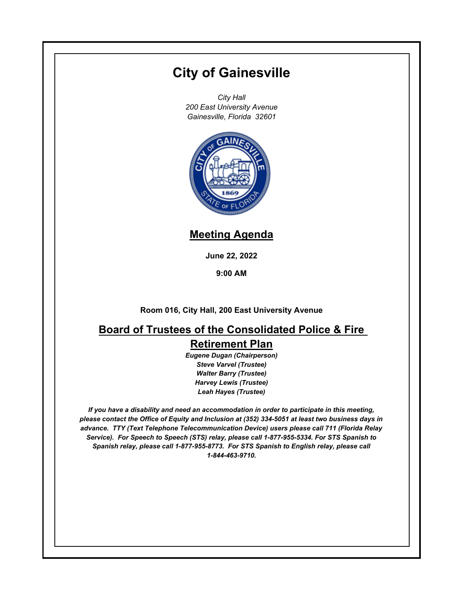# **City of Gainesville**

*City Hall 200 East University Avenue Gainesville, Florida 32601*



### **Meeting Agenda**

**June 22, 2022**

**9:00 AM**

**Room 016, City Hall, 200 East University Avenue**

## **Board of Trustees of the Consolidated Police & Fire Retirement Plan**

*Eugene Dugan (Chairperson) Steve Varvel (Trustee) Walter Barry (Trustee) Harvey Lewis (Trustee) Leah Hayes (Trustee)*

*If you have a disability and need an accommodation in order to participate in this meeting, please contact the Office of Equity and Inclusion at (352) 334-5051 at least two business days in advance. TTY (Text Telephone Telecommunication Device) users please call 711 (Florida Relay Service). For Speech to Speech (STS) relay, please call 1-877-955-5334. For STS Spanish to Spanish relay, please call 1-877-955-8773. For STS Spanish to English relay, please call 1-844-463-9710.*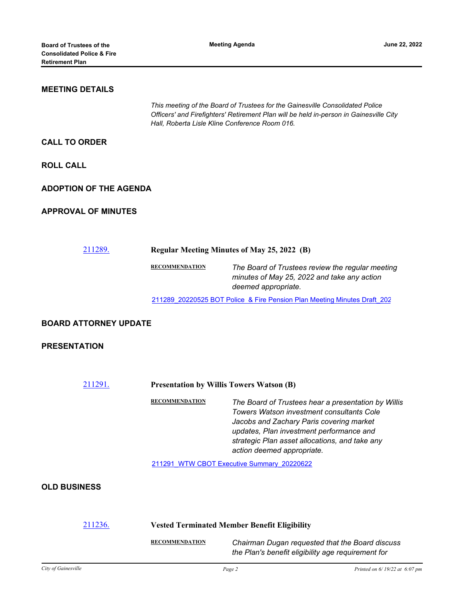#### **MEETING DETAILS**

*This meeting of the Board of Trustees for the Gainesville Consolidated Police Officers' and Firefighters' Retirement Plan will be held in-person in Gainesville City Hall, Roberta Lisle Kline Conference Room 016.*

#### **CALL TO ORDER**

**ROLL CALL**

#### **ADOPTION OF THE AGENDA**

#### **APPROVAL OF MINUTES**

[211289.](http://gainesville.legistar.com/gateway.aspx?m=l&id=/matter.aspx?key=34071) **Regular Meeting Minutes of May 25, 2022 (B) RECOMMENDATION** *The Board of Trustees review the regular meeting minutes of May 25, 2022 and take any action deemed appropriate.*

211289 20220525 BOT Police & Fire Pension Plan Meeting Minutes Draft 202

#### **BOARD ATTORNEY UPDATE**

#### **PRESENTATION**

[211291.](http://gainesville.legistar.com/gateway.aspx?m=l&id=/matter.aspx?key=34073) **Presentation by Willis Towers Watson (B)**

**RECOMMENDATION** *The Board of Trustees hear a presentation by Willis Towers Watson investment consultants Cole Jacobs and Zachary Paris covering market updates, Plan investment performance and strategic Plan asset allocations, and take any action deemed appropriate.*

[211291\\_WTW CBOT Executive Summary\\_20220622](http://Gainesville.legistar.com/gateway.aspx?M=F&ID=13ea0c79-cfd1-4192-af38-b0a739395063.pdf)

#### **OLD BUSINESS**

| 211236. | <b>Vested Terminated Member Benefit Eligibility</b> |                                                                                                       |
|---------|-----------------------------------------------------|-------------------------------------------------------------------------------------------------------|
|         | <b>RECOMMENDATION</b>                               | Chairman Dugan requested that the Board discuss<br>the Plan's benefit eligibility age requirement for |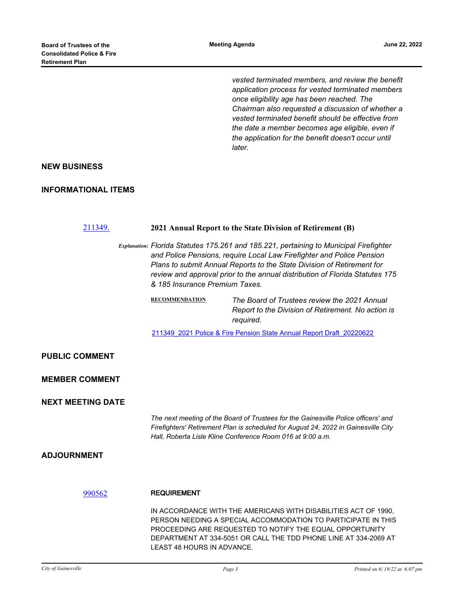*vested terminated members, and review the benefit application process for vested terminated members once eligibility age has been reached. The Chairman also requested a discussion of whether a vested terminated benefit should be effective from the date a member becomes age eligible, even if the application for the benefit doesn't occur until later.*

#### **NEW BUSINESS**

#### **INFORMATIONAL ITEMS**

| 211349.                  | 2021 Annual Report to the State Division of Retirement (B)                                                                                                                                                                                                                                                                                                  |                                                                                                                                                                                                                                                                  |
|--------------------------|-------------------------------------------------------------------------------------------------------------------------------------------------------------------------------------------------------------------------------------------------------------------------------------------------------------------------------------------------------------|------------------------------------------------------------------------------------------------------------------------------------------------------------------------------------------------------------------------------------------------------------------|
|                          | Explanation: Florida Statutes 175.261 and 185.221, pertaining to Municipal Firefighter<br>and Police Pensions, require Local Law Firefighter and Police Pension<br>Plans to submit Annual Reports to the State Division of Retirement for<br>review and approval prior to the annual distribution of Florida Statutes 175<br>& 185 Insurance Premium Taxes. |                                                                                                                                                                                                                                                                  |
|                          | <b>RECOMMENDATION</b>                                                                                                                                                                                                                                                                                                                                       | The Board of Trustees review the 2021 Annual<br>Report to the Division of Retirement. No action is<br>required.                                                                                                                                                  |
|                          | 211349 2021 Police & Fire Pension State Annual Report Draft 20220622                                                                                                                                                                                                                                                                                        |                                                                                                                                                                                                                                                                  |
| <b>PUBLIC COMMENT</b>    |                                                                                                                                                                                                                                                                                                                                                             |                                                                                                                                                                                                                                                                  |
| <b>MEMBER COMMENT</b>    |                                                                                                                                                                                                                                                                                                                                                             |                                                                                                                                                                                                                                                                  |
| <b>NEXT MEETING DATE</b> |                                                                                                                                                                                                                                                                                                                                                             |                                                                                                                                                                                                                                                                  |
|                          | The next meeting of the Board of Trustees for the Gainesville Police officers' and<br>Firefighters' Retirement Plan is scheduled for August 24, 2022 in Gainesville City<br>Hall, Roberta Lisle Kline Conference Room 016 at 9:00 a.m.                                                                                                                      |                                                                                                                                                                                                                                                                  |
| <b>ADJOURNMENT</b>       |                                                                                                                                                                                                                                                                                                                                                             |                                                                                                                                                                                                                                                                  |
| 990562                   | <b>REQUIREMENT</b>                                                                                                                                                                                                                                                                                                                                          |                                                                                                                                                                                                                                                                  |
|                          | LEAST 48 HOURS IN ADVANCE.                                                                                                                                                                                                                                                                                                                                  | IN ACCORDANCE WITH THE AMERICANS WITH DISABILITIES ACT OF 1990,<br>PERSON NEEDING A SPECIAL ACCOMMODATION TO PARTICIPATE IN THIS<br>PROCEEDING ARE REQUESTED TO NOTIFY THE EQUAL OPPORTUNITY<br>DEPARTMENT AT 334-5051 OR CALL THE TDD PHONE LINE AT 334-2069 AT |